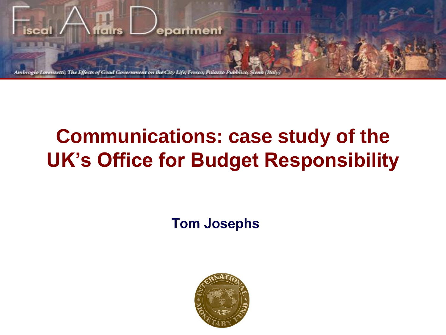

# **Communications: case study of the UK's Office for Budget Responsibility**

**Tom Josephs** 

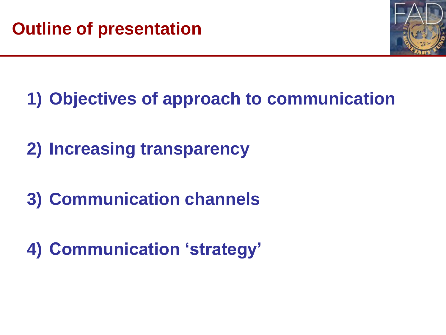

# **1) Objectives of approach to communication**

**2) Increasing transparency**

**3) Communication channels**

**4) Communication 'strategy'**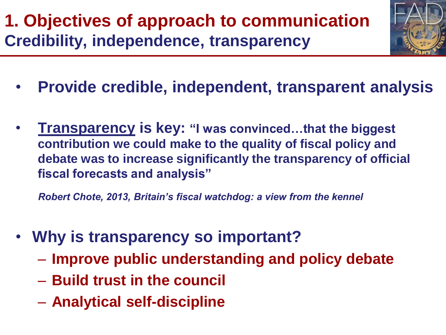# **1. Objectives of approach to communication Credibility, independence, transparency**



- **Provide credible, independent, transparent analysis**
- **Transparency is key: "I was convinced…that the biggest contribution we could make to the quality of fiscal policy and debate was to increase significantly the transparency of official fiscal forecasts and analysis"**

*Robert Chote, 2013, Britain's fiscal watchdog: a view from the kennel*

- **Why is transparency so important?**
	- **Improve public understanding and policy debate**
	- **Build trust in the council**
	- **Analytical self-discipline**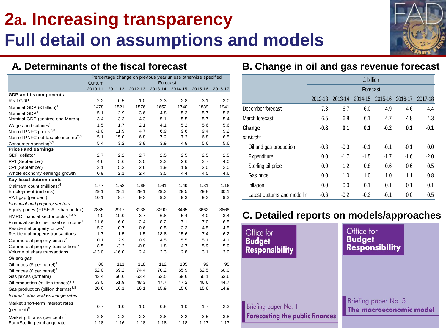## **2a. Increasing transparency Full detail on assumptions and models**

### **A. Determinants of the fiscal forecast**

|                                                  | Percentage change on previous year unless otherwise specified |         |         |          |         |         |         |
|--------------------------------------------------|---------------------------------------------------------------|---------|---------|----------|---------|---------|---------|
|                                                  | Outturn                                                       |         |         | Forecast |         |         |         |
|                                                  | 2010-11                                                       | 2011-12 | 2012-13 | 2013-14  | 2014-15 | 2015-16 | 2016-17 |
| <b>GDP and its components</b>                    |                                                               |         |         |          |         |         |         |
| Real GDP                                         | 2.2                                                           | 0.5     | 1.0     | 2.3      | 2.8     | 3.1     | 3.0     |
| Nominal GDP $(E \text{ billion})^T$              | 1478                                                          | 1521    | 1576    | 1652     | 1740    | 1839    | 1941    |
| Nominal GDP <sup>1</sup>                         | 5.1                                                           | 2.9     | 3.6     | 4.8      | 5.3     | 5.7     | 5.6     |
| Nominal GDP (centred end-March)                  | 3.4                                                           | 3.3     | 4.3     | 5.1      | 5.5     | 5.7     | 5.4     |
| Wages and salaries <sup>2</sup>                  | 1.5                                                           | 1.7     | 2.1     | 4.1      | 5.2     | 5.6     | 5.6     |
| Non-oil PNFC profits <sup>2,3</sup>              | $-1.0$                                                        | 11.9    | 4.7     | 6.9      | 9.6     | 9.4     | 9.2     |
| Non-oil PNFC net taxable income <sup>2,3</sup>   | 5.1                                                           | 15.0    | 6.8     | 7.2      | 7.3     | 6.8     | 6.5     |
| Consumer spending <sup>2,3</sup>                 | 5.4                                                           | 3.2     | 3.8     | 3.9      | 4.8     | 5.6     | 5.6     |
| <b>Prices and earnings</b>                       |                                                               |         |         |          |         |         |         |
| GDP deflator                                     | 2.7                                                           | 2.2     | 2.7     | 2.5      | 2.5     | 2.5     | 2.5     |
| RPI (September)                                  | 4.6                                                           | 5.6     | 3.0     | 2.3      | 2.6     | 3.7     | 4.0     |
| CPI (September)                                  | 3.1                                                           | 5.2     | 2.6     | 1.9      | 1.9     | 2.0     | 2.0     |
| Whole economy earnings growth                    | 0.9                                                           | 2.1     | 2.4     | 3.5      | 4.4     | 4.5     | 4.6     |
| Key fiscal determinants                          |                                                               |         |         |          |         |         |         |
| Claimant count (millions) <sup>4</sup>           | 1.47                                                          | 1.58    | 1.66    | 1.61     | 1.49    | 1.31    | 1.16    |
| Employment (millions)                            | 29.1                                                          | 29.1    | 29.1    | 29.3     | 29.5    | 29.8    | 30.1    |
| VAT gap (per cent)                               | 10.1                                                          | 9.7     | 9.3     | 9.3      | 9.3     | 9.3     | 9.3     |
| Financial and property sectors                   |                                                               |         |         |          |         |         |         |
| Equity prices (FTSE All-share index)             | 2885                                                          | 2917    | 3138    | 3290     | 3465    | 3662    | 3866    |
| HMRC financial sector profits <sup>1,3,5</sup>   | 4.0                                                           | $-10.0$ | 3.7     | 6.8      | 5.4     | 4.0     | 3.4     |
| Financial sector net taxable income <sup>1</sup> | 11.6                                                          | $-6.0$  | 2.4     | 8.2      | 7.1     | 7.0     | 6.5     |
| Residential property prices <sup>6</sup>         | 5.3                                                           | $-0.7$  | -0.6    | 0.5      | 3.3     | 4.5     | 4.5     |
| Residential property transactions                | $-1.7$                                                        | 1.5     | $-1.5$  | 18.8     | 15.6    | 7.4     | 6.2     |
| Commercial property prices <sup>7</sup>          | 0.1                                                           | 2.9     | 0.9     | 4.5      | 5.5     | 5.1     | 4.1     |
| Commercial property transactions <sup>7</sup>    | 8.5                                                           | $-3.3$  | $-0.8$  | 1.8      | 4.7     | 5.9     | 5.9     |
| Volume of share transactions                     | $-13.0$                                                       | $-16.0$ | 2.4     | 2.3      | 2.8     | 3.1     | 3.0     |
| Oil and gas                                      |                                                               |         |         |          |         |         |         |
| Oil prices (\$ per barrel) <sup>3</sup>          | 80                                                            | 111     | 118     | 112      | 105     | 99      | 95      |
| Oil prices (£ per barrel) <sup>3</sup>           | 52.0                                                          | 69.2    | 74.4    | 70.2     | 65.9    | 62.5    | 60.0    |
| Gas prices (p/therm)                             | 43.4                                                          | 60.6    | 63.4    | 63.5     | 59.6    | 56.1    | 53.6    |
| Oil production (million tonnes) <sup>3,8</sup>   | 63.0                                                          | 51.9    | 48.3    | 47.7     | 47.2    | 46.6    | 44.7    |
| Gas production (billion therms) $^{3,8}$         | 20.6                                                          | 16.1    | 16.1    | 15.9     | 15.6    | 15.6    | 14.9    |
| Interest rates and exchange rates                |                                                               |         |         |          |         |         |         |
| Market short-term interest rates                 |                                                               |         |         |          |         |         |         |
| (per cent) $9$                                   | 0.7                                                           | 1.0     | 1.0     | 0.8      | 1.0     | 1.7     | 2.3     |
| Market gilt rates (per cent) <sup>10</sup>       | 2.8                                                           | 2.2     | 2.3     | 2.8      | 3.2     | 3.5     | 3.8     |
| Euro/Sterling exchange rate                      | 1.18                                                          | 1.16    | 1.18    | 1.18     | 1.18    | 1.17    | 1.17    |

### **B. Change in oil and gas revenue forecast**

|                              | £ billion |         |         |         |         |         |
|------------------------------|-----------|---------|---------|---------|---------|---------|
|                              | Forecast  |         |         |         |         |         |
|                              | 2012-13   | 2013-14 | 2014-15 | 2015-16 | 2016-17 | 2017-18 |
| December forecast            | 7.3       | 6.7     | 6.0     | 4.9     | 4.6     | 4.4     |
| March forecast               | 6.5       | 6.8     | 6.1     | 4.7     | 4.8     | 4.3     |
| Change                       | $-0.8$    | 0.1     | 0.1     | $-0.2$  | 0.1     | $-0.1$  |
| of which:                    |           |         |         |         |         |         |
| Oil and gas production       | $-0.3$    | $-0.3$  | $-0.1$  | $-0.1$  | $-0.1$  | 0.0     |
| Expenditure                  | 0.0       | $-1.7$  | $-1.5$  | $-1.7$  | $-1.6$  | $-2.0$  |
| Sterling oil price           | 0.0       | 1.2     | 0.8     | 0.6     | 0.6     | 0.5     |
| Gas price                    | 0.0       | 1.0     | 1.0     | 1.0     | 1.1     | 0.8     |
| Inflation                    | 0.0       | 0.0     | 0.1     | 0.1     | 0.1     | 0.1     |
| Latest outturns and modellin | $-0.6$    | $-0.2$  | $-0.2$  | $-0.1$  | 0.0     | 0.5     |

## **C. Detailed reports on models/approaches**

 $B<sub>0</sub>$ 

**Br** 

| ffice for                     | Office for              |
|-------------------------------|-------------------------|
| Jdget                         | <b>Budget</b>           |
| sponsibility                  | <b>Responsibility</b>   |
| efing paper No. 1             | Briefing paper No. 5    |
| recasting the public finances | The macroeconomic model |

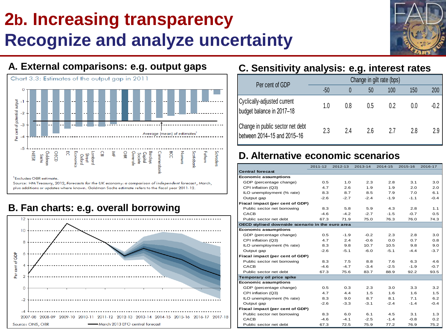# **2b. Increasing transparency Recognize and analyze uncertainty**





Source: HM Treasury, 2012, Forecasts for the UK economy: a comparison of independent forecast, March, plus additions or updates where known. Goldman Sachs estimate refers to the fiscal year 2011-12.

## **B. Fan charts: e.g. overall borrowing**



## **A. External comparisons: e.g. output gaps C. Sensitivity analysis: e.g. interest rates**

| Per cent of GDP                                                 | Change in gilt rate (bps) |     |     |     |     |        |  |
|-----------------------------------------------------------------|---------------------------|-----|-----|-----|-----|--------|--|
|                                                                 | $-50$                     |     | 50  | 100 | 150 | 200    |  |
| Cyclically-adjusted current<br>budget balance in 2017-18        | 1.0                       | 0.8 | 0.5 | 0.2 | 0.0 | $-0.2$ |  |
| Change in public sector net debt<br>between 2014-15 and 2015-16 | 2.3                       | 24  | 26  | 27  | 2.8 | 2.9    |  |

## **D. Alternative economic scenarios**

|                                                  | 2011-12 | 2012-13 | 2013-14 | 2014-15 | 2015-16          | 2016-17 |
|--------------------------------------------------|---------|---------|---------|---------|------------------|---------|
| <b>Central forecast</b>                          |         |         |         |         |                  |         |
| <b>Economic assumptions</b>                      |         |         |         |         |                  |         |
| GDP (percentage change)                          | 0.5     | 1.0     | 2.3     | 2.8     | 3.1              | 3.0     |
| CPI inflation (Q3)                               | 4.7     | 2.6     | 1.9     | 1.9     | 2.0              | 2.0     |
| ILO unemployment (% rate)                        | 8.3     | 8.7     | 8.5     | 7.9     | 7.0              | 6.1     |
| Output gap                                       | $-2.6$  | $-2.7$  | $-2.4$  | $-1.9$  | $-1.1$           | $-0.4$  |
| Fiscal impact (per cent of GDP)                  |         |         |         |         |                  |         |
| Public sector net borrowing                      | 8.3     | 5.8     | 5.9     | 4.3     | 2.8              | 1.1     |
| CACB                                             | $-4.6$  | $-4.2$  | $-2.7$  | $-1.5$  | $-0.7$           | 0.5     |
| Public sector net debt                           | 67.3    | 71.9    | 75.0    | 76.3    | 76.0             | 74.3    |
| OECD stylised downside scenario in the euro area |         |         |         |         |                  |         |
| <b>Economic assumptions</b>                      |         |         |         |         |                  |         |
| GDP (percentage change)                          | 0.5     | $-1.9$  | $-0.2$  | 2.3     | 2.8              | 3.0     |
| CPI inflation (Q3)                               | 4.7     | 2.4     | $-0.6$  | 0.0     | 0.7              | 0.8     |
| ILO unemployment (% rate)                        | 8.3     | 9.8     | 10.7    | 10.5    | 9.8              | 9.0     |
| Output gap                                       | $-2.6$  | $-5.1$  | $-6.0$  | $-5.1$  | $-4.4$           | $-3.7$  |
| Fiscal impact (per cent of GDP)                  |         |         |         |         |                  |         |
| Public sector net borrowing                      | 8.3     | 7.5     | 8.8     | 7.6     | 6.3              | 4.6     |
| CACB                                             | $-4.6$  | $-4.7$  | $-3.4$  | $-2.5$  | $-1.9$           | $-0.7$  |
| Public sector net debt                           | 67.3    | 75.6    | 83.7    | 88.9    | 92.2             | 93.5    |
| Temporary oil price spike                        |         |         |         |         |                  |         |
| <b>Economic assumptions</b>                      |         |         |         |         |                  |         |
| GDP (percentage change)                          | 0.5     | 0.3     | 2.3     | 3.0     | 3.3 <sub>1</sub> | 3.2     |
| CPI inflation (Q3)                               | 4.7     | 4.4     | 1.5     | 1.6     | 1.6              | 1.5     |
| ILO unemployment (% rate)                        | 8.3     | 9.0     | 8.7     | 8.1     | 7.1              | 6.2     |
| Output gap                                       | $-2.6$  | $-3.3$  | $-3.1$  | $-2.4$  | $-1.4$           | $-0.4$  |
| Fiscal impact (per cent of GDP)                  |         |         |         |         |                  |         |
| Public sector net borrowing                      | 8.3     | 6.0     | 6.1     | 4.5     | 3.1              | 1.3     |
| CACB                                             | $-4.6$  | $-4.1$  | $-2.5$  | $-1.4$  | $-0.8$           | 0.2     |
| Public sector net debt                           | 67.3    | 72.5    | 75.9    | 77.2    | 76.9             | 75.2    |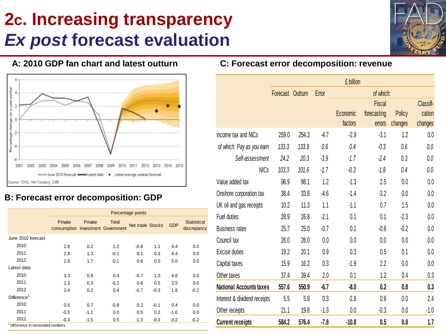# **2c. Increasing transparency** *Ex post* **forecast evaluation**



### **A: 2010 GDP fan chart and latest outturn**



### **B: Forecast error decomposition: GDP**

|                                               |                                              |         |        | Percentage points |        |            |                                   |
|-----------------------------------------------|----------------------------------------------|---------|--------|-------------------|--------|------------|-----------------------------------|
|                                               | Private<br>consumption investment Government | Private | Total  | Net trade Stocks  |        | <b>GDP</b> | <b>Statistical</b><br>discrepancy |
| June 2010 forecast                            |                                              |         |        |                   |        |            |                                   |
| 2010                                          | 2.8                                          | 0.2     | 1.2    | $-0.8$            | 1.1    | 4.4        | 0.0                               |
| 2011                                          | 2.8                                          | 1.3     | $-0.1$ | 0.1               | 0.3    | 4.4        | 0.0                               |
| 2012                                          | 2.8                                          | 1.7     | $-0.1$ | 0.6               | 0.0    | 5.0        | 0.0                               |
| Latest data                                   |                                              |         |        |                   |        |            |                                   |
| 2010                                          | 3.3                                          | 0.8     | 0.4    | $-0.7$            | 1.0    | 4.8        | 0.0                               |
| 2011                                          | 2.3                                          | 0.3     | $-0.2$ | 0.6               | 0.5    | 3.5        | 0.0                               |
| 2012                                          | 2.4                                          | 0.2     | 0.4    | $-0.7$            | $-0.3$ | 1.8        | $-0.2$                            |
| Difference <sup>1</sup>                       |                                              |         |        |                   |        |            |                                   |
| 2010                                          | 0.5                                          | 0.7     | $-0.8$ | 0.2               | $-0.1$ | 0.4        | 0.0                               |
| 2011                                          | $-0.5$                                       | $-1.1$  | 0.0    | 0.5               | 0.2    | $-1.0$     | 0.0                               |
| 2012                                          | $-0.3$                                       | $-1.5$  | 0.5    | $-1.3$            | $-0.3$ | $-3.2$     | $-0.2$                            |
| <sup>1</sup> Difference in unrounded numbers. |                                              |         |        |                   |        |            |                                   |

### **C: Forecast error decomposition: revenue**

|                                |                  | £ billion |        |          |               |         |           |  |
|--------------------------------|------------------|-----------|--------|----------|---------------|---------|-----------|--|
|                                | Forecast Outturn |           | Error  |          | of which:     |         |           |  |
|                                |                  |           |        |          | <b>Fiscal</b> |         | Classifi- |  |
|                                |                  |           |        | Economic | forecasting   | Policy  | cation    |  |
|                                |                  |           |        | factors  | errors        | changes | changes   |  |
| Income tax and NICs            | 259.0            | 254.3     | $-4.7$ | $-2.9$   | $-3.1$        | 1.2     | 0.0       |  |
| of which: Pay as you earn      | 133.3            | 133.9     | 0.6    | 0.4      | $-0.3$        | 0.6     | 0.0       |  |
| Self-assessment                | 24.2             | 20.3      | $-3.9$ | $-1.7$   | $-2.4$        | 0.3     | 0.0       |  |
| <b>NICs</b>                    | 103.3            | 101.6     | $-1.7$ | $-0.3$   | $-1.8$        | 0.4     | 0.0       |  |
| Value added tax                | 96.9             | 98.1      | 1.2    | $-1.3$   | 2.5           | 0.0     | 0.0       |  |
| Onshore corporation tax        | 38.4             | 33.8      | $-4.6$ | $-1.4$   | $-3.2$        | 0.0     | 0.0       |  |
| UK oil and gas receipts        | 10.2             | 11.3      | 1.1    | $-1.1$   | 0.7           | 1.5     | 0.0       |  |
| <b>Fuel duties</b>             | 28.9             | 26.8      | $-2.1$ | 0.1      | 0.1           | $-2.3$  | 0.0       |  |
| <b>Business rates</b>          | 25.7             | 25.0      | $-0.7$ | 0.1      | $-0.6$        | $-0.2$  | 0.0       |  |
| Council tax                    | 26.0             | 26.0      | 0.0    | 0.0      | 0.0           | 0.0     | 0.0       |  |
| Excise duties                  | 19.2             | 20.1      | 0.9    | 0.3      | 0.5           | 0.1     | 0.0       |  |
| Capital taxes                  | 15.9             | 16.2      | 0.3    | $-1.9$   | 2.2           | 0.0     | 0.0       |  |
| Other taxes                    | 37.4             | 39.4      | 2.0    | 0.1      | 1.2           | 0.4     | 0.3       |  |
| <b>National Accounts taxes</b> | 557.6            | 550.9     | $-6.7$ | $-8.0$   | 0.2           | 0.8     | 0.3       |  |
| Interest & dividend receipts   | 5.5              | 5.8       | 0.3    | $-2.8$   | 0.6           | 0.0     | 2.4       |  |
| Other receipts                 | 21.1             | 19.8      | $-1.3$ | 0.0      | $-0.3$        | 0.0     | $-1.0$    |  |
| <b>Current receipts</b>        | 584.2            | 576.4     | $-7.8$ | $-10.8$  | 0.5           | 0.8     | 1.7       |  |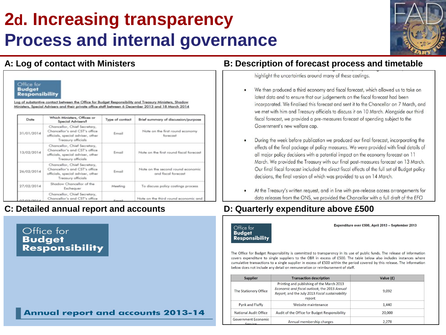## **2d. Increasing transparency Process and internal governance**



|            | Ministers, Special Advisers and their private office staff between 6 December 2013 and 18 March 2014                            |                 | Log of substantive contact between the Office for Budget Responsibility and Treasury Ministers, Shadow |
|------------|---------------------------------------------------------------------------------------------------------------------------------|-----------------|--------------------------------------------------------------------------------------------------------|
| Date       | Which Ministers, Offices or<br>Special Advisers?                                                                                | Type of contact | Brief summary of discussion/purpose                                                                    |
| 31/01/2014 | Chancellor, Chief Secretary,<br>Chancellor's and CST's office<br>officials, special adviser, other<br><b>Treasury officials</b> | Email           | Note on the first round economy<br>forecast                                                            |
| 13/02/2014 | Chancellor, Chief Secretary,<br>Chancellor's and CST's office<br>officials, special adviser, other<br><b>Treasury officials</b> | Email           | Note on the first round fiscal forecast                                                                |
| 26/02/2014 | Chancellor, Chief Secretary,<br>Chancellor's and CST's office<br>officials, special adviser, other<br><b>Treasury officials</b> | Email           | Note on the second round economic<br>and fiscal forecast                                               |
| 27/02/2014 | Shadow Chancellor of the<br>Exchequer                                                                                           | Meeting         | To discuss policy costings process                                                                     |
| 17/03/201  | Chancellor, Chief Secretary,<br>Chancellor's and CST's office                                                                   | Erroril         | Note on the third round economic and                                                                   |

### **C: Detailed annual report and accounts D: Quarterly expenditure above £500**

### Office for **Budget Responsibility**

### **Annual report and accounts 2013-14**

### **A: Log of contact with Ministers B: Description of forecast process and timetable**

highlight the uncertainties around many of these costings.

- We then produced a third economy and fiscal forecast, which allowed us to take on latest data and to ensure that our judgements on the fiscal forecast had been incorporated. We finalised this forecast and sent it to the Chancellor on 7 March, and we met with him and Treasury officials to discuss it on 10 March. Alongside our third fiscal forecast, we provided a pre-measures forecast of spending subject to the Government's new welfare cap.
- During the week before publication we produced our final forecast, incorporating the effects of the final package of policy measures. We were provided with final details of all major policy decisions with a potential impact on the economy forecast on 11 March. We provided the Treasury with our final post-measures forecast on 13 March. Our final fiscal forecast included the direct fiscal effects of the full set of Budget policy decisions, the final version of which was provided to us on 14 March.
- At the Treasury's written request, and in line with pre-release access arrangements for data releases from the ONS, we provided the Chancellor with a full draft of the EFO



Expenditure over £500, April 2013 - September 2013

The Office for Budget Responsibility is committed to transparency in its use of public funds. The release of information covers expenditure to single suppliers to the OBR in excess of £500. The table below also includes instances where cumulative transactions to a single supplier in excess of £500 within the period covered by this release. The information below does not include any detail on remuneration or reimbursement of staff.

| <b>Supplier</b>                | <b>Transaction description</b>                                                                                                                          | Value (£) |
|--------------------------------|---------------------------------------------------------------------------------------------------------------------------------------------------------|-----------|
| The Stationery Office          | Printing and publishing of the March 2013<br>Economic and fiscal outlook, the 2013 Annual<br>Report, and the July 2013 Fiscal sustainability<br>report. | 9.092     |
| Pynk and Fluffy                | Website maintenance                                                                                                                                     | 1.440     |
| National Audit Office          | Audit of the Office for Budget Responsibility                                                                                                           | 20,000    |
| Government Economic<br>Service | Annual membership charges                                                                                                                               | 2.278     |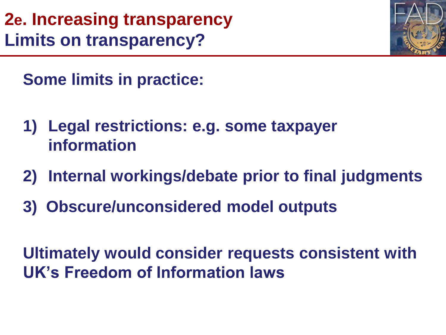**2e. Increasing transparency Limits on transparency?**



**Some limits in practice:**

- **1) Legal restrictions: e.g. some taxpayer information**
- **2) Internal workings/debate prior to final judgments**
- **3) Obscure/unconsidered model outputs**

**Ultimately would consider requests consistent with UK's Freedom of Information laws**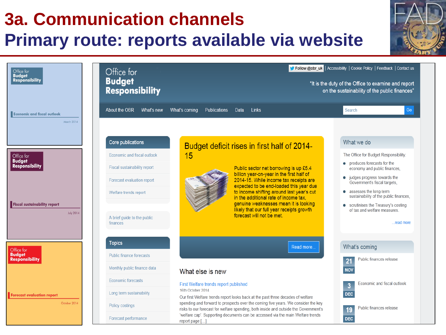### **3a. Communication channels Primary route: reports available via website** Follow @obr\_uk | Accessibility | Cookie Policy | Feedback | Contact us Office for Office for **Budget Budget Responsibility** "It is the duty of the Office to examine and report **Responsibility** on the sustainability of the public finances" About the OBR **Links** Go What's new What's coming **Publications** Data Search **Economic and fiscal outlook** March 2014 Core publications What we do Budget deficit rises in first half of 2014-Economic and fiscal outlook 15 The Office for Budget Responsibility: Office for **Budaet** • produces forecasts for the **Responsibility** Fiscal sustainability report Public sector net borrowing is up £5.4 economy and public finances. billion year-on-year in the first half of  $\bullet$  judges progress towards the 2014-15. While income tax receipts are Forecast evaluation report Government's fiscal targets. expected to be end-loaded this year due to income shifting around last year's cut • assesses the long-term Welfare trends report sustainability of the public finances, in the additional rate of income tax. genuine weaknesses mean it is looking **Fiscal sustainability report** • scrutinises the Treasury's costing likely that our full year receipts growth of tax and welfare measures. **July 2014** forecast will not be met. A brief quide to the public finances read more **Topics** Read more What's coming Office for **Budget** Public finance forecasts **Responsibility** Public finances release Monthly public finance data **NOV** What else is new Economic forecasts Economic and fiscal outlook First Welfare trends report published  $\overline{3}$ 16th October 2014 Long term sustainability **DEC Forecast evaluation report** Our first Welfare trends report looks back at the past three decades of welfare spending and forward to prospects over the coming five years. We consider the key October 2014 Policy costings Public finances release 19 risks to our forecast for welfare spending, both inside and outside the Government's 'welfare cap'. Supporting documents can be accessed via the main Welfare trends Forecast performance **DEC 9**report page [...]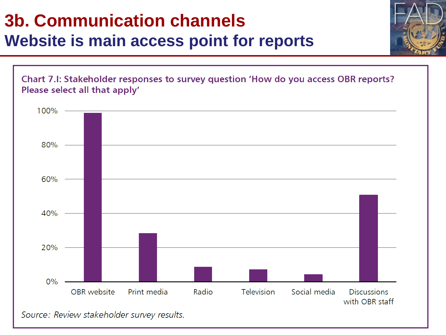## **3b. Communication channels Website is main access point for reports**



Source: Review stakeholder survey results.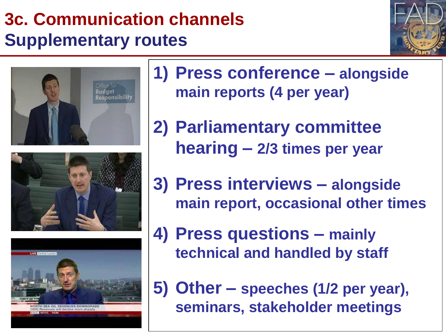# **3c. Communication channels Supplementary routes**









**1) Press conference – alongside main reports (4 per year)**

**2) Parliamentary committee hearing – 2/3 times per year**

**3) Press interviews – alongside main report, occasional other times**

**4) Press questions – mainly technical and handled by staff**

**5) Other – speeches (1/2 per year), seminars, stakeholder meetings**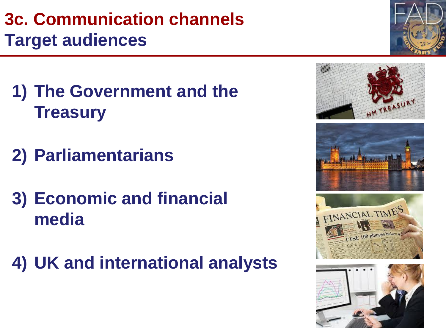# **3c. Communication channels Target audiences**

- **1) The Government and the Treasury**
- **2) Parliamentarians**
- **3) Economic and financial media**
- **4) UK and international analysts**









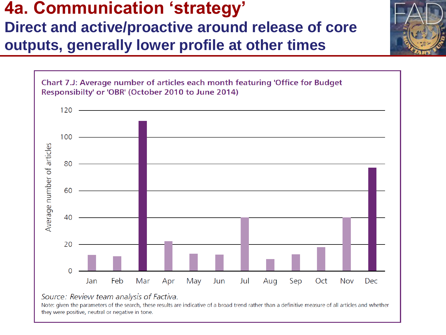## **4a. Communication 'strategy' Direct and active/proactive around release of core outputs, generally lower profile at other times**



### Source: Review team analysis of Factiva.

Note: given the parameters of the search, these results are indicative of a broad trend rather than a definitive measure of all articles and whether they were positive, neutral or negative in tone.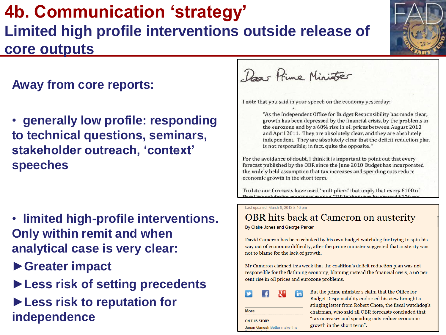## **4b. Communication 'strategy' Limited high profile interventions outside release of core outputs**

## **Away from core reports:**

• **generally low profile: responding to technical questions, seminars, stakeholder outreach, 'context' speeches**

- • **limited high-profile interventions. Only within remit and when analytical case is very clear:**
- **►Greater impact**
- **►Less risk of setting precedents ►Less risk to reputation for independence**

Das Prime Minister

I note that you said in your speech on the economy yesterday:

"As the Independent Office for Budget Responsibility has made clear, growth has been depressed by the financial crisis, by the problems in the eurozone and by a 60% rise in oil prices between August 2010 and April 2011. They are absolutely clear, and they are absolutely independent. They are absolutely clear that the deficit reduction plan is not responsible; in fact, quite the opposite. "

For the avoidance of doubt, I think it is important to point out that every forecast published by the OBR since the June 2010 Budget has incorporated the widely held assumption that tax increases and spending cuts reduce economic growth in the short term.

To date our forecasts have used 'multipliers' that imply that every £100 of fiscal consolidation measures reduce CDP in that year by around £100 for

Last updated: March 8, 2013 8:16 pm

## **OBR** hits back at Cameron on austerity

By Claire Jones and George Parker

David Cameron has been rebuked by his own budget watchdog for trying to spin his way out of economic difficulty, after the prime minister suggested that austerity was not to blame for the lack of growth.

Mr Cameron claimed this week that the coalition's deficit reduction plan was not responsible for the flatlining economy, blaming instead the financial crisis, a 60 per cent rise in oil prices and eurozone problems.

| <b>More</b>          |                               |  |
|----------------------|-------------------------------|--|
| <b>ON THIS STORY</b> |                               |  |
|                      | Janan Ganesh Better make this |  |

But the prime minister's claim that the Office for Budget Responsibility endorsed his view brought a stinging letter from Robert Chote, the fiscal watchdog's chairman, who said all OBR forecasts concluded that "tax increases and spending cuts reduce economic growth in the short term".